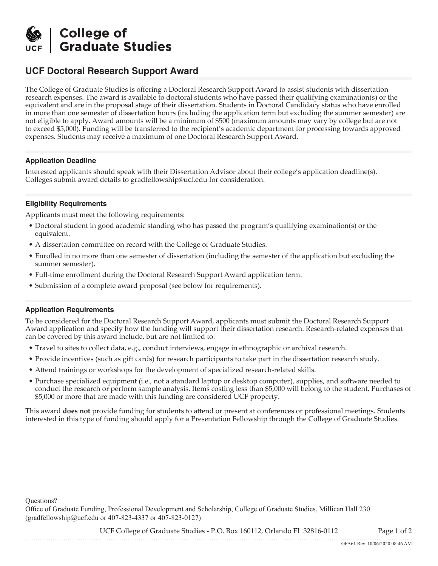

# **UCF Doctoral Research Support Award**

The College of Graduate Studies is offering a Doctoral Research Support Award to assist students with dissertation research expenses. The award is available to doctoral students who have passed their qualifying examination(s) or the equivalent and are in the proposal stage of their dissertation. Students in Doctoral Candidacy status who have enrolled in more than one semester of dissertation hours (including the application term but excluding the summer semester) are not eligible to apply. Award amounts will be a minimum of \$500 (maximum amounts may vary by college but are not to exceed \$5,000). Funding will be transferred to the recipient's academic department for processing towards approved expenses. Students may receive a maximum of one Doctoral Research Support Award.

### **Application Deadline**

Interested applicants should speak with their Dissertation Advisor about their college's application deadline(s). Colleges submit award details to gradfellowship@ucf.edu for consideration.

#### **Eligibility Requirements**

Applicants must meet the following requirements:

- Doctoral student in good academic standing who has passed the program's qualifying examination(s) or the equivalent.
- A dissertation committee on record with the College of Graduate Studies.
- Enrolled in no more than one semester of dissertation (including the semester of the application but excluding the summer semester).
- Full-time enrollment during the Doctoral Research Support Award application term.
- Submission of a complete award proposal (see below for requirements).

#### **Application Requirements**

To be considered for the Doctoral Research Support Award, applicants must submit the Doctoral Research Support Award application and specify how the funding will support their dissertation research. Research-related expenses that can be covered by this award include, but are not limited to:

- Travel to sites to collect data, e.g., conduct interviews, engage in ethnographic or archival research.
- Provide incentives (such as gift cards) for research participants to take part in the dissertation research study.
- Attend trainings or workshops for the development of specialized research-related skills.
- Purchase specialized equipment (i.e., not a standard laptop or desktop computer), supplies, and software needed to conduct the research or perform sample analysis. Items costing less than \$5,000 will belong to the student. Purchases of \$5,000 or more that are made with this funding are considered UCF property.

This award **does not** provide funding for students to attend or present at conferences or professional meetings. Students interested in this type of funding should apply for a Presentation Fellowship through the College of Graduate Studies.

Questions?

Office of Graduate Funding, Professional Development and Scholarship, College of Graduate Studies, Millican Hall 230 (gradfellowship@ucf.edu or 407-823-4337 or 407-823-0127)

UCF College of Graduate Studies - P.O. Box 160112, Orlando FL 32816-0112 Page 1 of 2